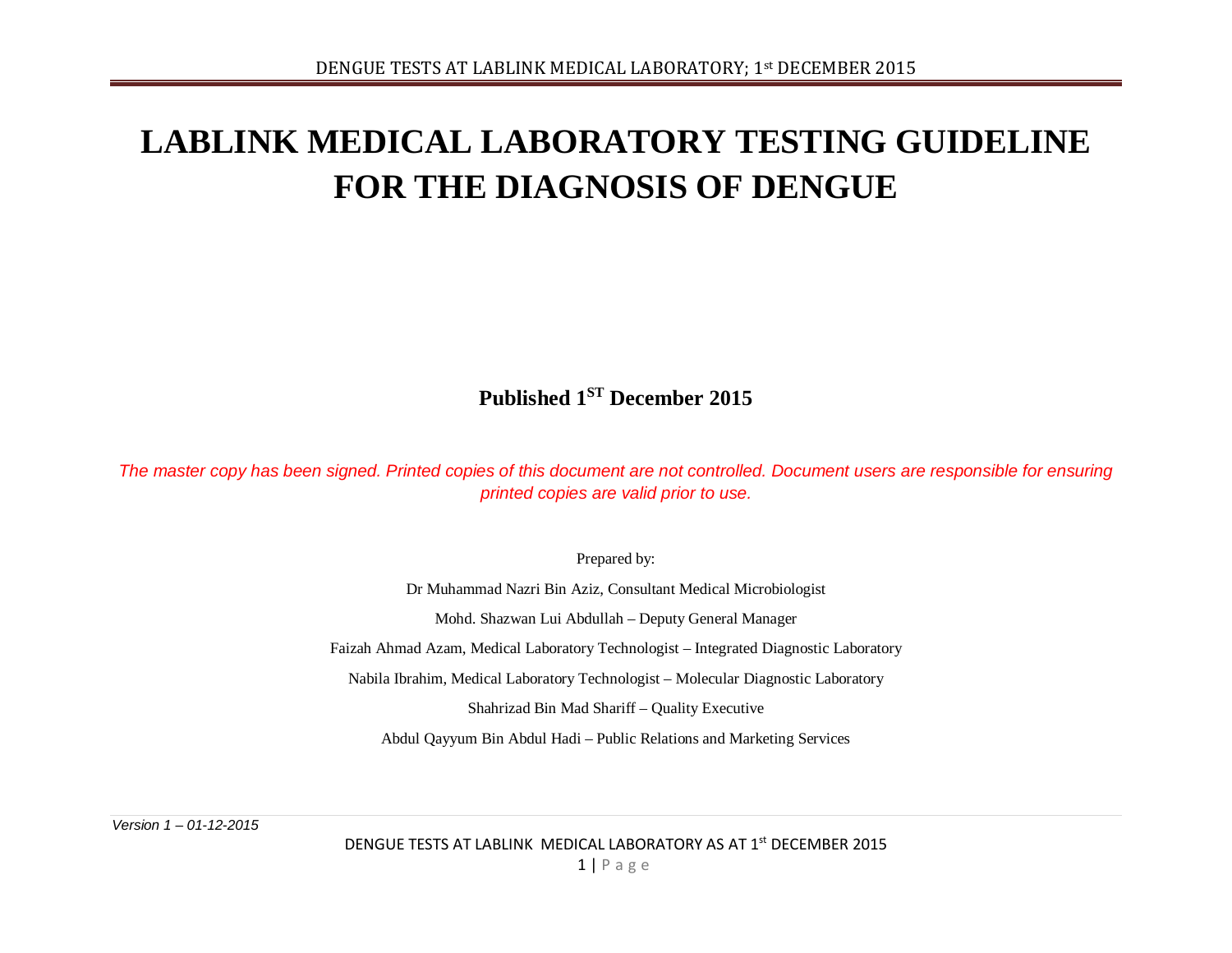## **LABLINK MEDICAL LABORATORY TESTING GUIDELINE FOR THE DIAGNOSIS OF DENGUE**

**Published 1ST December 2015**

*The master copy has been signed. Printed copies of this document are not controlled. Document users are responsible for ensuring printed copies are valid prior to use.*

Prepared by:

Dr Muhammad Nazri Bin Aziz, Consultant Medical Microbiologist

Mohd. Shazwan Lui Abdullah – Deputy General Manager

Faizah Ahmad Azam, Medical Laboratory Technologist – Integrated Diagnostic Laboratory

Nabila Ibrahim, Medical Laboratory Technologist – Molecular Diagnostic Laboratory

Shahrizad Bin Mad Shariff – Quality Executive

Abdul Qayyum Bin Abdul Hadi – Public Relations and Marketing Services

*Version 1 – 01-12-2015*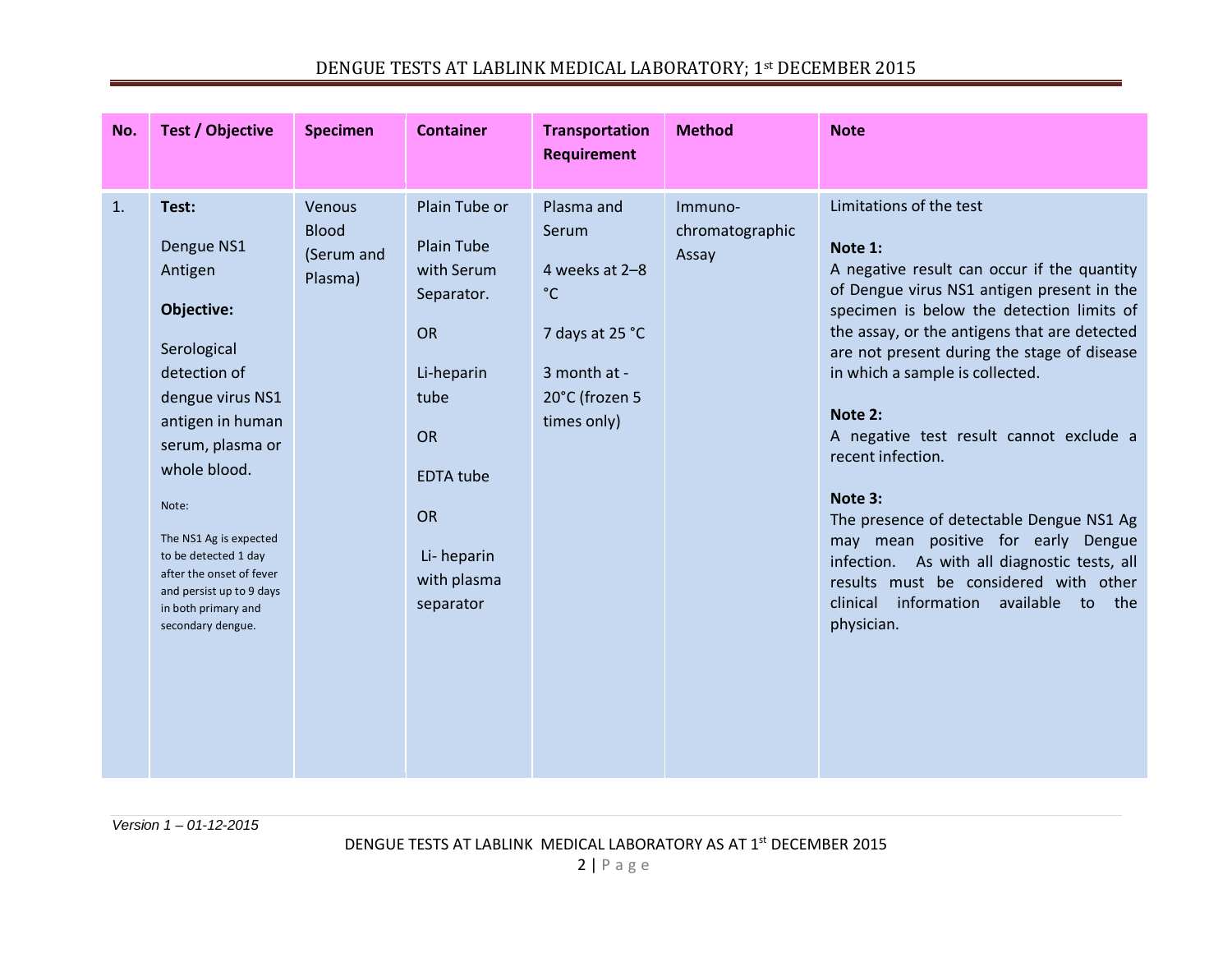|--|

| No. | <b>Test / Objective</b>                                                                                                                                                                                                                                                                                                | <b>Specimen</b>                                 | <b>Container</b>                                                                                                                                                            | <b>Transportation</b><br><b>Requirement</b>                                                                               | <b>Method</b>                       | <b>Note</b>                                                                                                                                                                                                                                                                                                                                                                                                                                                                                                                                                                                                                               |
|-----|------------------------------------------------------------------------------------------------------------------------------------------------------------------------------------------------------------------------------------------------------------------------------------------------------------------------|-------------------------------------------------|-----------------------------------------------------------------------------------------------------------------------------------------------------------------------------|---------------------------------------------------------------------------------------------------------------------------|-------------------------------------|-------------------------------------------------------------------------------------------------------------------------------------------------------------------------------------------------------------------------------------------------------------------------------------------------------------------------------------------------------------------------------------------------------------------------------------------------------------------------------------------------------------------------------------------------------------------------------------------------------------------------------------------|
| 1.  | Test:<br>Dengue NS1<br>Antigen<br>Objective:<br>Serological<br>detection of<br>dengue virus NS1<br>antigen in human<br>serum, plasma or<br>whole blood.<br>Note:<br>The NS1 Ag is expected<br>to be detected 1 day<br>after the onset of fever<br>and persist up to 9 days<br>in both primary and<br>secondary dengue. | Venous<br><b>Blood</b><br>(Serum and<br>Plasma) | Plain Tube or<br><b>Plain Tube</b><br>with Serum<br>Separator.<br><b>OR</b><br>Li-heparin<br>tube<br>OR<br><b>EDTA</b> tube<br>OR<br>Li-heparin<br>with plasma<br>separator | Plasma and<br>Serum<br>4 weeks at 2-8<br>$^{\circ}$ C<br>7 days at 25 °C<br>3 month at -<br>20°C (frozen 5<br>times only) | Immuno-<br>chromatographic<br>Assay | Limitations of the test<br>Note 1:<br>A negative result can occur if the quantity<br>of Dengue virus NS1 antigen present in the<br>specimen is below the detection limits of<br>the assay, or the antigens that are detected<br>are not present during the stage of disease<br>in which a sample is collected.<br>Note 2:<br>A negative test result cannot exclude a<br>recent infection.<br>Note 3:<br>The presence of detectable Dengue NS1 Ag<br>may mean positive for early Dengue<br>infection. As with all diagnostic tests, all<br>results must be considered with other<br>clinical<br>information available to the<br>physician. |

*Version 1 – 01-12-2015*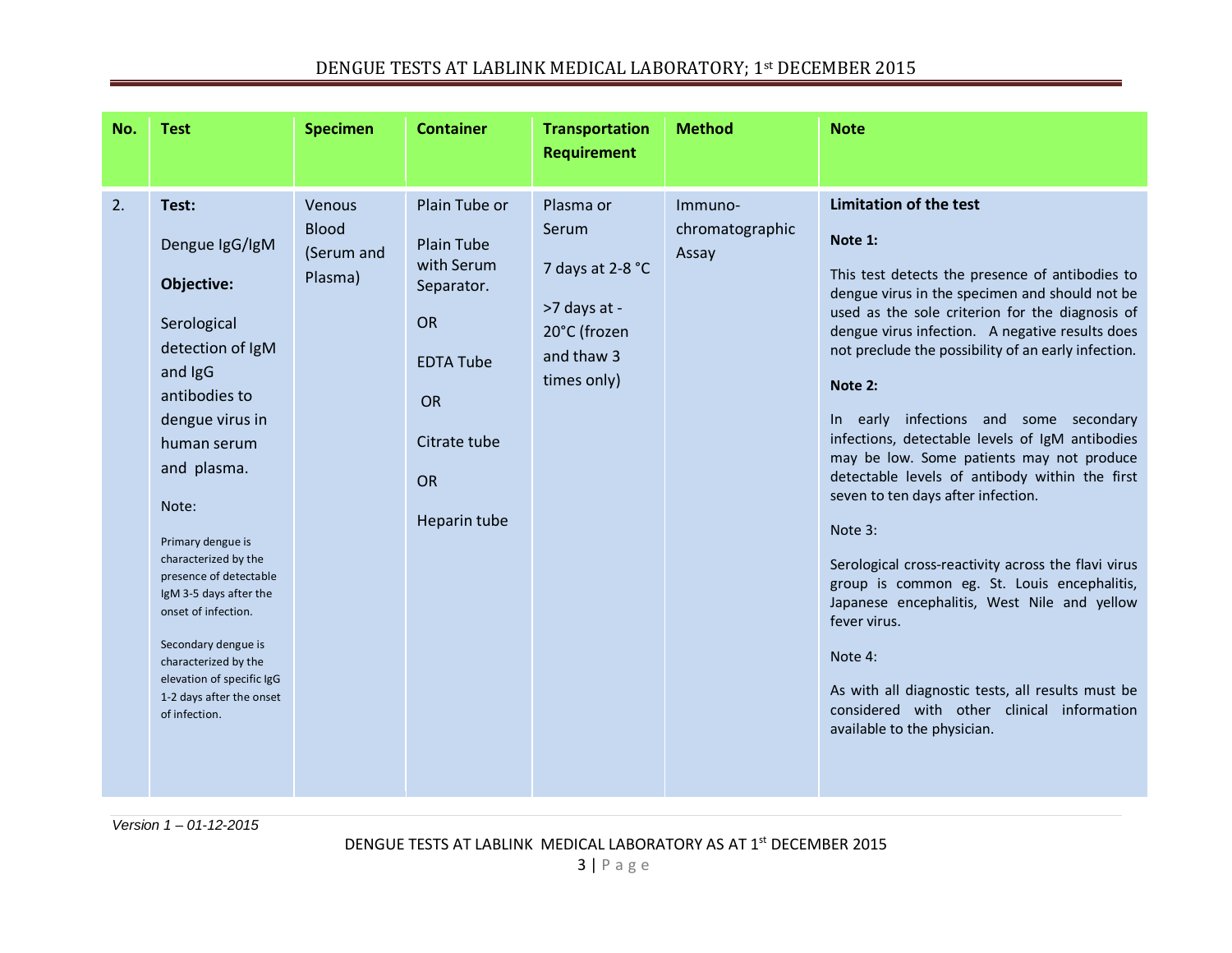| No. | <b>Test</b>                                                                                                                                                                                                                                                                                                                                                                                                     | <b>Specimen</b>                                 | <b>Container</b>                                                                                                                                   | <b>Transportation</b><br><b>Requirement</b>                                                         | <b>Method</b>                       | <b>Note</b>                                                                                                                                                                                                                                                                                                                                                                                                                                                                                                                                                                                                                                                                                                                                                                                                                                                                          |
|-----|-----------------------------------------------------------------------------------------------------------------------------------------------------------------------------------------------------------------------------------------------------------------------------------------------------------------------------------------------------------------------------------------------------------------|-------------------------------------------------|----------------------------------------------------------------------------------------------------------------------------------------------------|-----------------------------------------------------------------------------------------------------|-------------------------------------|--------------------------------------------------------------------------------------------------------------------------------------------------------------------------------------------------------------------------------------------------------------------------------------------------------------------------------------------------------------------------------------------------------------------------------------------------------------------------------------------------------------------------------------------------------------------------------------------------------------------------------------------------------------------------------------------------------------------------------------------------------------------------------------------------------------------------------------------------------------------------------------|
| 2.  | Test:<br>Dengue IgG/IgM<br>Objective:<br>Serological<br>detection of IgM<br>and IgG<br>antibodies to<br>dengue virus in<br>human serum<br>and plasma.<br>Note:<br>Primary dengue is<br>characterized by the<br>presence of detectable<br>IgM 3-5 days after the<br>onset of infection.<br>Secondary dengue is<br>characterized by the<br>elevation of specific IgG<br>1-2 days after the onset<br>of infection. | Venous<br><b>Blood</b><br>(Serum and<br>Plasma) | Plain Tube or<br><b>Plain Tube</b><br>with Serum<br>Separator.<br><b>OR</b><br><b>EDTA Tube</b><br>OR<br>Citrate tube<br><b>OR</b><br>Heparin tube | Plasma or<br>Serum<br>7 days at 2-8 °C<br>>7 days at -<br>20°C (frozen<br>and thaw 3<br>times only) | Immuno-<br>chromatographic<br>Assay | <b>Limitation of the test</b><br>Note 1:<br>This test detects the presence of antibodies to<br>dengue virus in the specimen and should not be<br>used as the sole criterion for the diagnosis of<br>dengue virus infection. A negative results does<br>not preclude the possibility of an early infection.<br>Note 2:<br>In early infections and some secondary<br>infections, detectable levels of IgM antibodies<br>may be low. Some patients may not produce<br>detectable levels of antibody within the first<br>seven to ten days after infection.<br>Note 3:<br>Serological cross-reactivity across the flavi virus<br>group is common eg. St. Louis encephalitis,<br>Japanese encephalitis, West Nile and yellow<br>fever virus.<br>Note 4:<br>As with all diagnostic tests, all results must be<br>considered with other clinical information<br>available to the physician. |

*Version 1 – 01-12-2015*

DENGUE TESTS AT LABLINK MEDICAL LABORATORY AS AT 1<sup>st</sup> DECEMBER 2015

3 | Page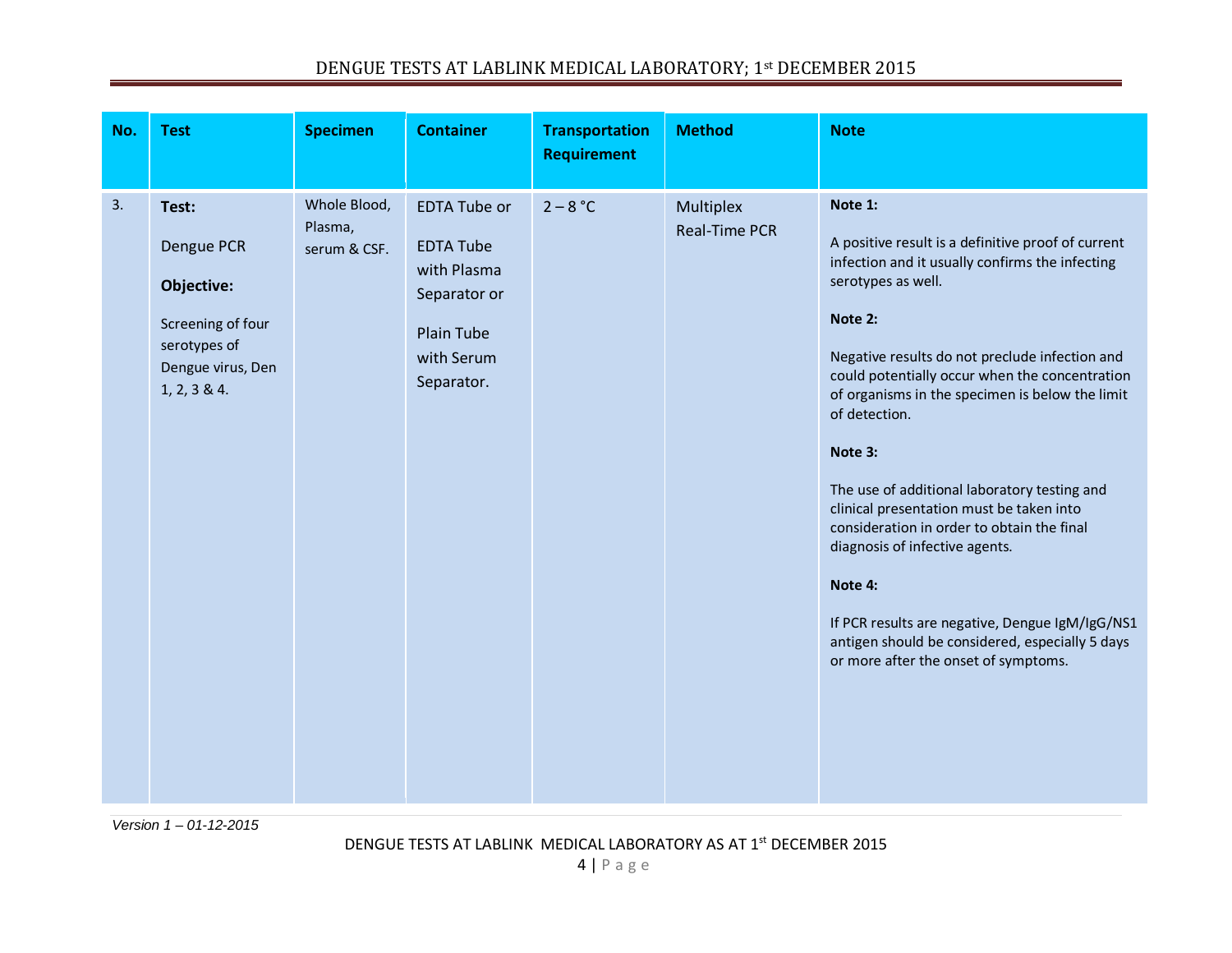|--|

| No. | <b>Test</b>                                                                                                 | <b>Specimen</b>                         | <b>Container</b>                                                                                                        | <b>Transportation</b><br><b>Requirement</b> | <b>Method</b>                     | <b>Note</b>                                                                                                                                                                                                                                                                                                                                                                                                                                                                                                                                                                                                                                                               |
|-----|-------------------------------------------------------------------------------------------------------------|-----------------------------------------|-------------------------------------------------------------------------------------------------------------------------|---------------------------------------------|-----------------------------------|---------------------------------------------------------------------------------------------------------------------------------------------------------------------------------------------------------------------------------------------------------------------------------------------------------------------------------------------------------------------------------------------------------------------------------------------------------------------------------------------------------------------------------------------------------------------------------------------------------------------------------------------------------------------------|
| 3.  | Test:<br>Dengue PCR<br>Objective:<br>Screening of four<br>serotypes of<br>Dengue virus, Den<br>1, 2, 3 & 4. | Whole Blood,<br>Plasma,<br>serum & CSF. | <b>EDTA Tube or</b><br><b>EDTA Tube</b><br>with Plasma<br>Separator or<br><b>Plain Tube</b><br>with Serum<br>Separator. | $2 - 8 °C$                                  | Multiplex<br><b>Real-Time PCR</b> | Note 1:<br>A positive result is a definitive proof of current<br>infection and it usually confirms the infecting<br>serotypes as well.<br>Note 2:<br>Negative results do not preclude infection and<br>could potentially occur when the concentration<br>of organisms in the specimen is below the limit<br>of detection.<br>Note 3:<br>The use of additional laboratory testing and<br>clinical presentation must be taken into<br>consideration in order to obtain the final<br>diagnosis of infective agents.<br>Note 4:<br>If PCR results are negative, Dengue IgM/IgG/NS1<br>antigen should be considered, especially 5 days<br>or more after the onset of symptoms. |

*Version 1 – 01-12-2015*

DENGUE TESTS AT LABLINK MEDICAL LABORATORY AS AT 1<sup>st</sup> DECEMBER 2015

4 | Page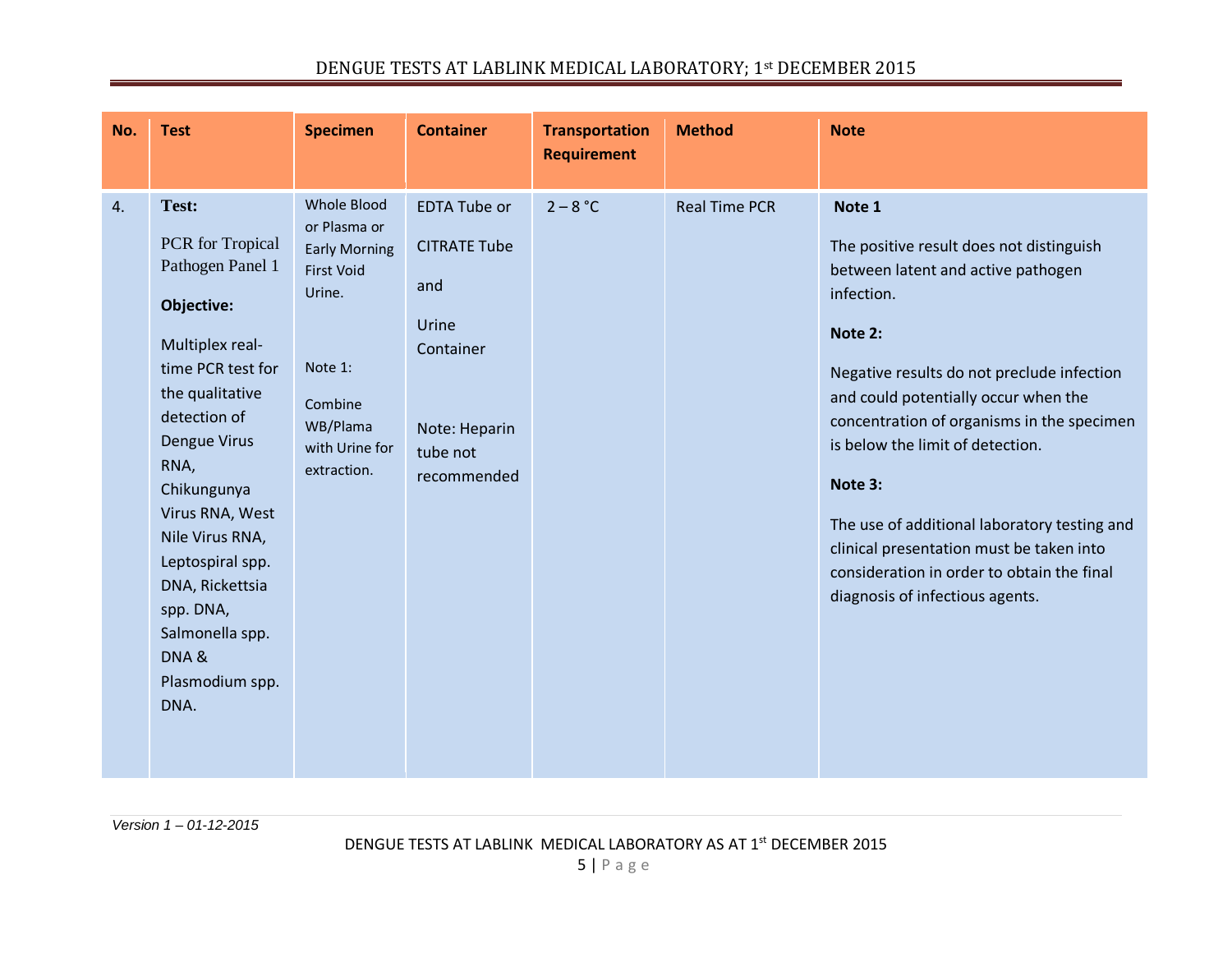| <b>Whole Blood</b><br>Test:<br><b>EDTA Tube or</b><br>$2 - 8 °C$<br><b>Real Time PCR</b><br>Note 1<br>or Plasma or<br>PCR for Tropical<br><b>CITRATE Tube</b><br>The positive result does not distinguish<br><b>Early Morning</b><br>Pathogen Panel 1<br>between latent and active pathogen<br><b>First Void</b><br>and<br>Urine.<br>infection.<br>Objective:<br>Urine<br>Note 2:<br>Multiplex real-<br>Container<br>Note 1:<br>time PCR test for<br>Negative results do not preclude infection<br>the qualitative<br>and could potentially occur when the<br>Combine<br>detection of<br>concentration of organisms in the specimen<br>WB/Plama<br>Note: Heparin<br>Dengue Virus<br>is below the limit of detection.<br>with Urine for<br>tube not<br>RNA,<br>extraction.<br>recommended<br>Note 3:<br>Chikungunya | No. | <b>Test</b>     | <b>Specimen</b> | <b>Container</b> | <b>Transportation</b><br><b>Requirement</b> | <b>Method</b> | <b>Note</b> |
|--------------------------------------------------------------------------------------------------------------------------------------------------------------------------------------------------------------------------------------------------------------------------------------------------------------------------------------------------------------------------------------------------------------------------------------------------------------------------------------------------------------------------------------------------------------------------------------------------------------------------------------------------------------------------------------------------------------------------------------------------------------------------------------------------------------------|-----|-----------------|-----------------|------------------|---------------------------------------------|---------------|-------------|
| The use of additional laboratory testing and<br>Nile Virus RNA,<br>clinical presentation must be taken into<br>Leptospiral spp.<br>consideration in order to obtain the final<br>DNA, Rickettsia<br>diagnosis of infectious agents.<br>spp. DNA,<br>Salmonella spp.<br>DNA&<br>Plasmodium spp.<br>DNA.                                                                                                                                                                                                                                                                                                                                                                                                                                                                                                             | 4.  | Virus RNA, West |                 |                  |                                             |               |             |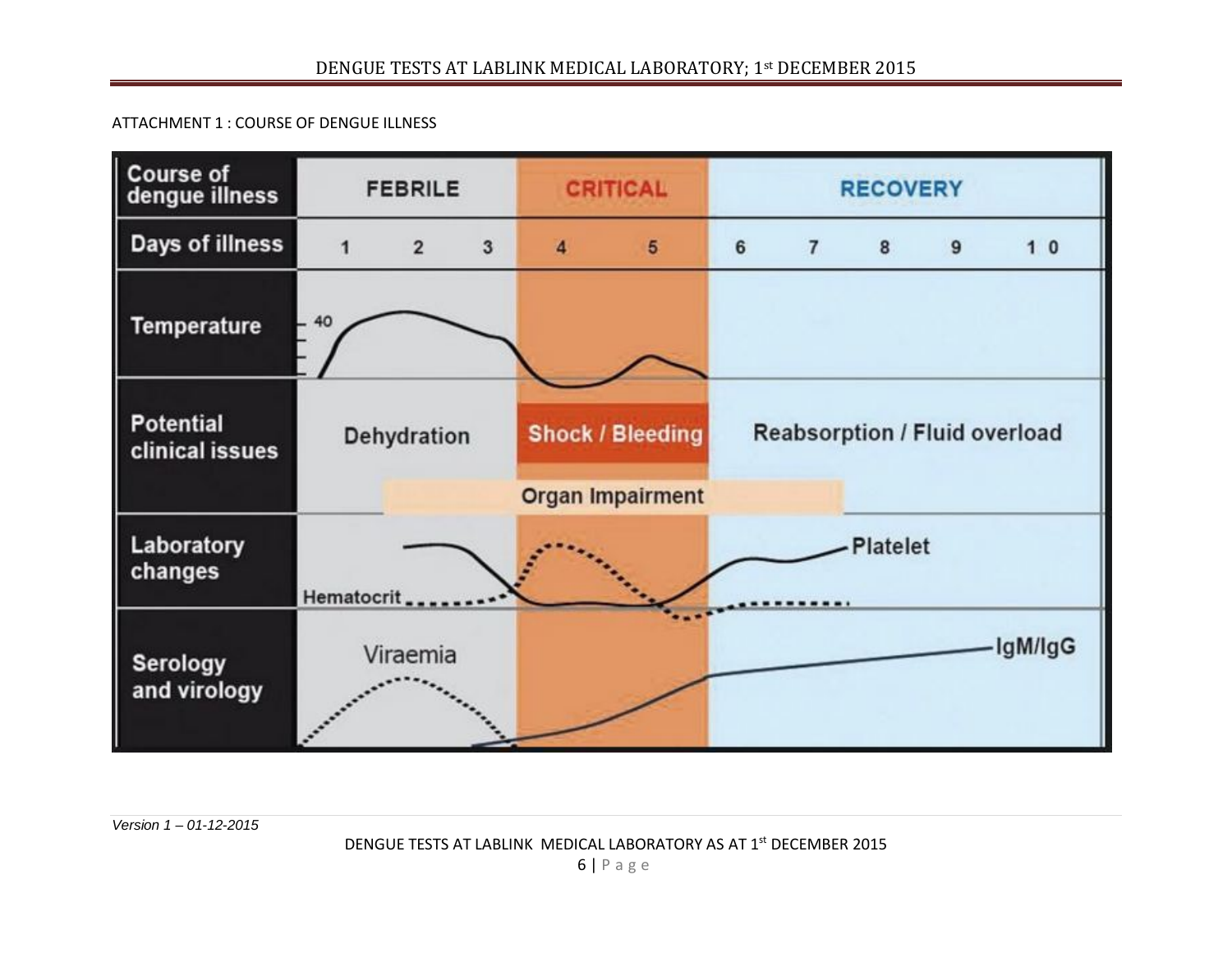## ATTACHMENT 1 : COURSE OF DENGUE ILLNESS

| <b>Course of</b><br>dengue illness  | <b>FEBRILE</b>                        |          |  | <b>CRITICAL</b>              |                                                    |                 | <b>RECOVERY</b>                      |  |  |         |  |  |  |
|-------------------------------------|---------------------------------------|----------|--|------------------------------|----------------------------------------------------|-----------------|--------------------------------------|--|--|---------|--|--|--|
| Days of illness                     | $\overline{3}$<br>1<br>$\overline{2}$ |          |  | 4<br>$\overline{\mathbf{5}}$ |                                                    | 6               | $\overline{7}$<br>8<br>10<br>9       |  |  |         |  |  |  |
| <b>Temperature</b>                  |                                       |          |  |                              |                                                    |                 |                                      |  |  |         |  |  |  |
| <b>Potential</b><br>clinical issues | Dehydration                           |          |  |                              | <b>Shock / Bleeding</b><br><b>Organ Impairment</b> |                 | <b>Reabsorption / Fluid overload</b> |  |  |         |  |  |  |
| Laboratory<br>changes               | Hematocrit                            |          |  |                              |                                                    | <b>Platelet</b> |                                      |  |  |         |  |  |  |
| <b>Serology</b><br>and virology     |                                       | Viraemia |  |                              |                                                    |                 |                                      |  |  | lgM/lgG |  |  |  |

*Version 1 – 01-12-2015*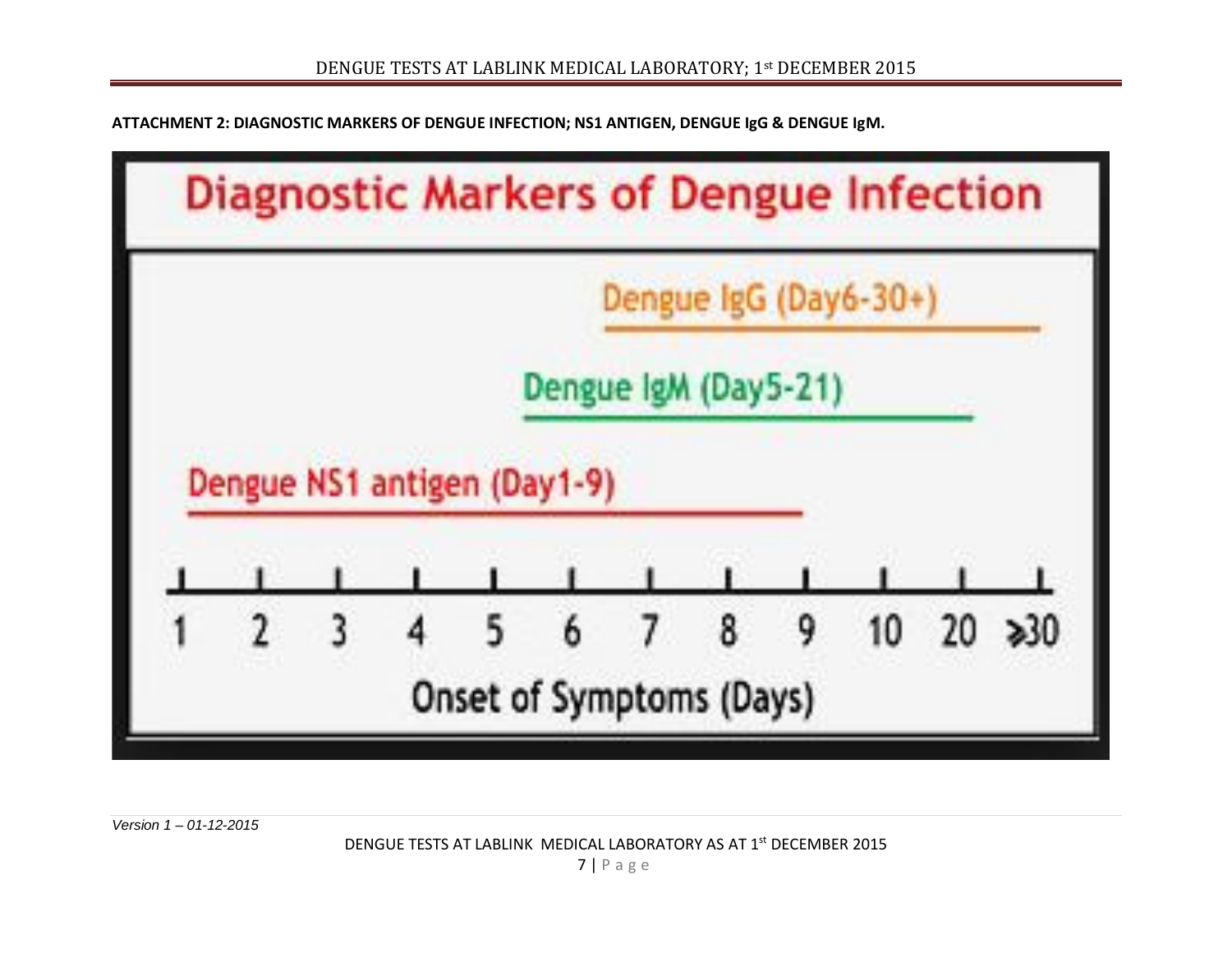**ATTACHMENT 2: DIAGNOSTIC MARKERS OF DENGUE INFECTION; NS1 ANTIGEN, DENGUE IgG & DENGUE IgM.**



*Version 1 – 01-12-2015*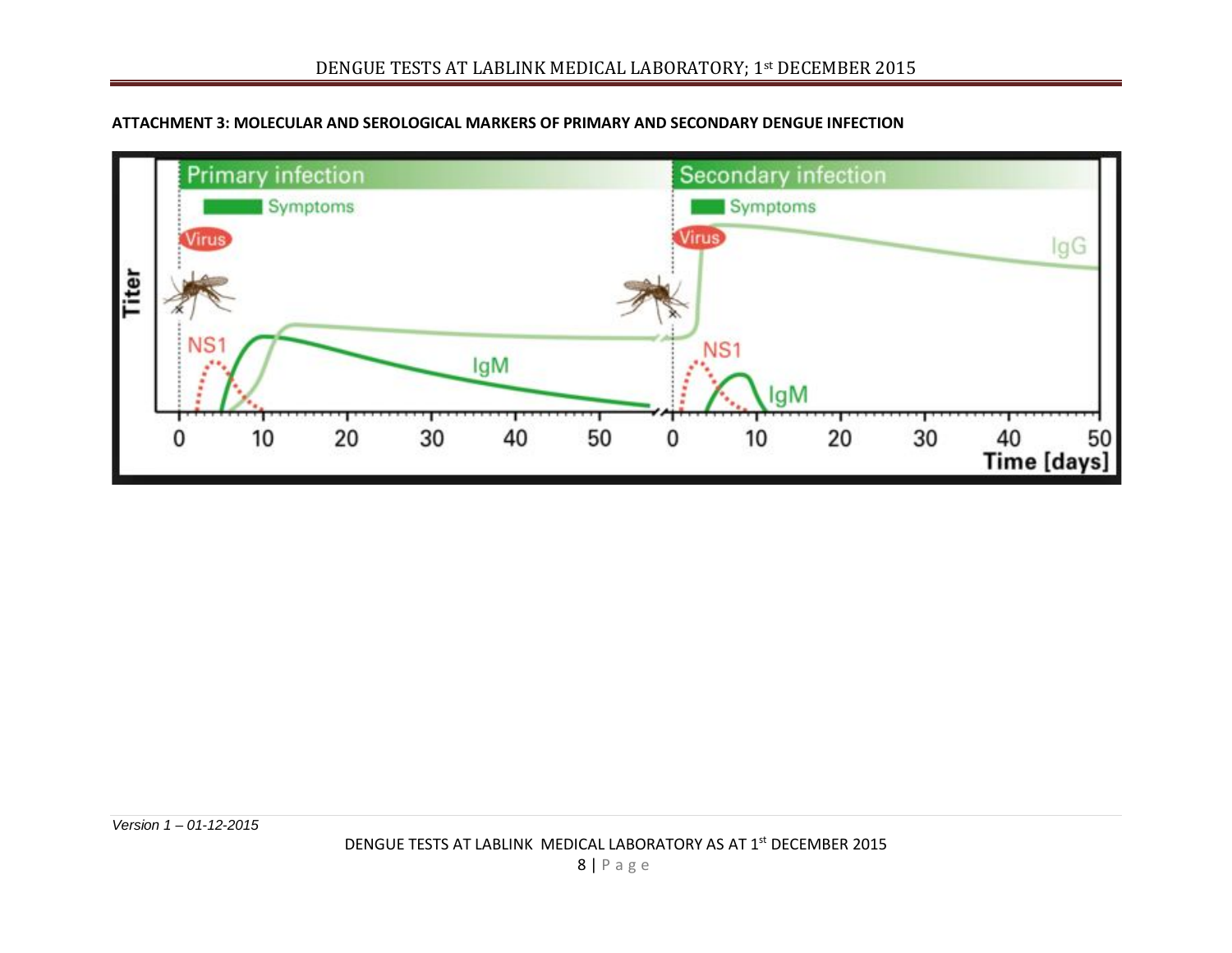